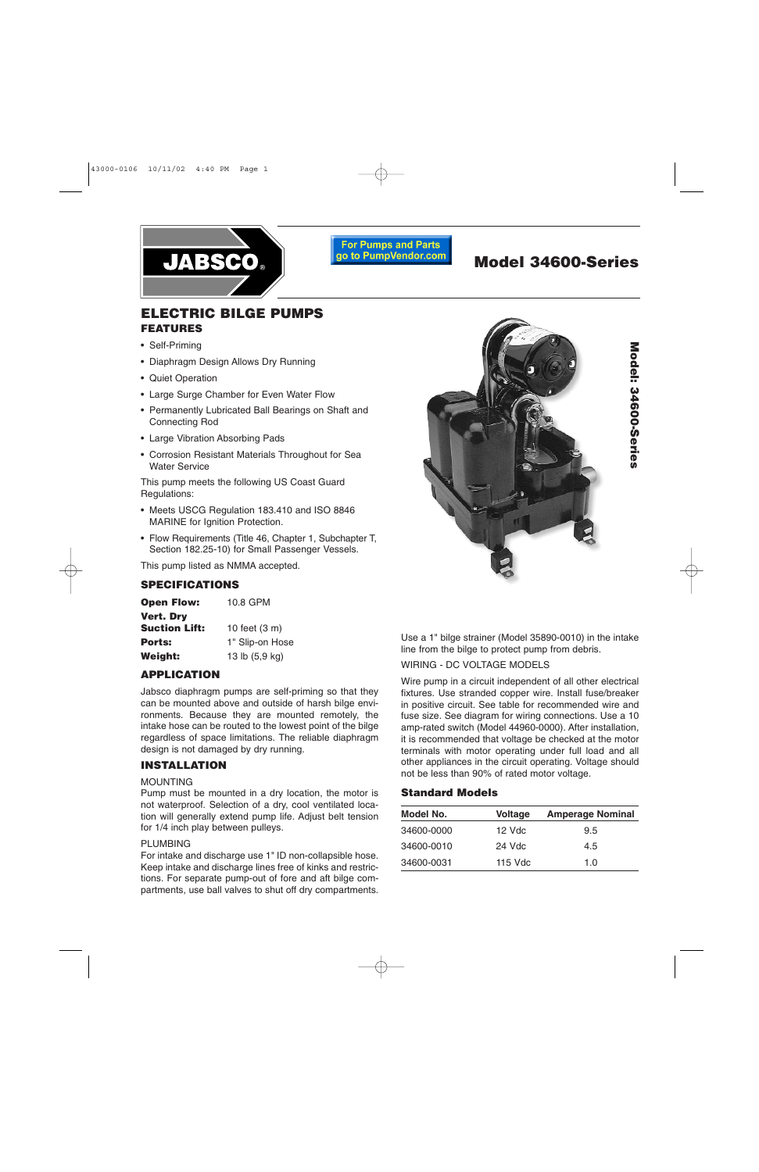

**For Pumps and Parts** go to PumpVendor.com

# **Model 34600-Series**

# **ELECTRIC BILGE PUMPS FEATURES**

- Self-Priming
- Diaphragm Design Allows Dry Running
- Quiet Operation
- Large Surge Chamber for Even Water Flow
- Permanently Lubricated Ball Bearings on Shaft and Connecting Rod
- Large Vibration Absorbing Pads
- Corrosion Resistant Materials Throughout for Sea Water Service

This pump meets the following US Coast Guard Regulations:

- Meets USCG Regulation 183.410 and ISO 8846 MARINE for Ignition Protection.
- Flow Requirements (Title 46, Chapter 1, Subchapter T, Section 182.25-10) for Small Passenger Vessels.

This pump listed as NMMA accepted.

# **SPECIFICATIONS**

| <b>Open Flow:</b>    | 10.8 GPM        |
|----------------------|-----------------|
| <b>Vert. Dry</b>     |                 |
| <b>Suction Lift:</b> | 10 feet (3 m)   |
| <b>Ports:</b>        | 1" Slip-on Hose |
| <b>Weight:</b>       | 13 lb (5,9 kg)  |

# **APPLICATION**

Jabsco diaphragm pumps are self-priming so that they can be mounted above and outside of harsh bilge environments. Because they are mounted remotely, the intake hose can be routed to the lowest point of the bilge regardless of space limitations. The reliable diaphragm design is not damaged by dry running.

#### **INSTALLATION**

#### MOUNTING

Pump must be mounted in a dry location, the motor is not waterproof. Selection of a dry, cool ventilated location will generally extend pump life. Adjust belt tension for 1/4 inch play between pulleys.

#### PLUMBING

For intake and discharge use 1" ID non-collapsible hose. Keep intake and discharge lines free of kinks and restrictions. For separate pump-out of fore and aft bilge compartments, use ball valves to shut off dry compartments.



Model: 34600-Series **Model: 34600-Series**

Use a 1" bilge strainer (Model 35890-0010) in the intake line from the bilge to protect pump from debris.

#### WIRING - DC VOLTAGE MODELS

Wire pump in a circuit independent of all other electrical fixtures. Use stranded copper wire. Install fuse/breaker in positive circuit. See table for recommended wire and fuse size. See diagram for wiring connections. Use a 10 amp-rated switch (Model 44960-0000). After installation, it is recommended that voltage be checked at the motor terminals with motor operating under full load and all other appliances in the circuit operating. Voltage should not be less than 90% of rated motor voltage.

#### **Standard Models**

| Model No.  | <b>Voltage</b> | <b>Amperage Nominal</b> |
|------------|----------------|-------------------------|
| 34600-0000 | 12 Vdc         | 9.5                     |
| 34600-0010 | 24 Vdc         | 4.5                     |
| 34600-0031 | 115 Vdc        | 1.0                     |
|            |                |                         |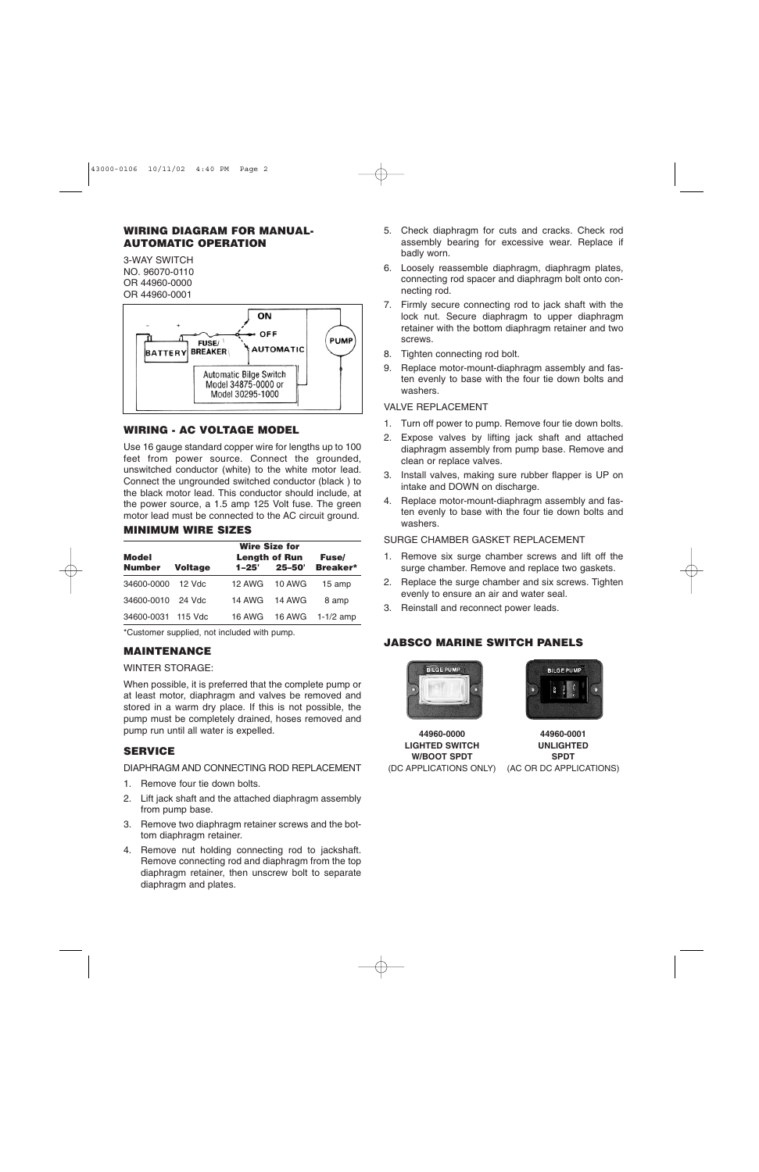# **WIRING DIAGRAM FOR MANUAL-AUTOMATIC OPERATION**

3-WAY SWITCH NO. 96070-0110 OR 44960-0000 OR 44960-0001



# **WIRING - AC VOLTAGE MODEL**

Use 16 gauge standard copper wire for lengths up to 100 feet from power source. Connect the grounded, unswitched conductor (white) to the white motor lead. Connect the ungrounded switched conductor (black ) to the black motor lead. This conductor should include, at the power source, a 1.5 amp 125 Volt fuse. The green motor lead must be connected to the AC circuit ground.

## **MINIMUM WIRE SIZES**

|                               |                | <b>Wire Size for</b> |                                    |                                |
|-------------------------------|----------------|----------------------|------------------------------------|--------------------------------|
| <b>Model</b><br><b>Number</b> | <b>Voltage</b> | $1 - 25'$            | <b>Length of Run</b><br>$25 - 50'$ | <b>Fuse</b><br><b>Breaker*</b> |
| 34600-0000                    | 12 Vdc         | <b>12 AWG</b>        | <b>10 AWG</b>                      | 15 amp                         |
| 34600-0010                    | 24 Vdc         | 14 AWG               | 14 AWG                             | 8 amp                          |
| 34600-0031                    | 115 Vdc        | 16 AWG               |                                    | 16 AWG 1-1/2 amp               |

\*Customer supplied, not included with pump.

# **MAINTENANCE**

#### WINTER STORAGE:

When possible, it is preferred that the complete pump or at least motor, diaphragm and valves be removed and stored in a warm dry place. If this is not possible, the pump must be completely drained, hoses removed and pump run until all water is expelled.

# **SERVICE**

#### DIAPHRAGM AND CONNECTING ROD REPLACEMENT

- 1. Remove four tie down bolts.
- 2. Lift jack shaft and the attached diaphragm assembly from pump base.
- 3. Remove two diaphragm retainer screws and the bottom diaphragm retainer.
- 4. Remove nut holding connecting rod to jackshaft. Remove connecting rod and diaphragm from the top diaphragm retainer, then unscrew bolt to separate diaphragm and plates.
- 5. Check diaphragm for cuts and cracks. Check rod assembly bearing for excessive wear. Replace if badly worn.
- 6. Loosely reassemble diaphragm, diaphragm plates, connecting rod spacer and diaphragm bolt onto connecting rod.
- 7. Firmly secure connecting rod to jack shaft with the lock nut. Secure diaphragm to upper diaphragm retainer with the bottom diaphragm retainer and two screws.
- 8. Tighten connecting rod bolt.
- 9. Replace motor-mount-diaphragm assembly and fasten evenly to base with the four tie down bolts and washers.

# VALVE REPLACEMENT

- 1. Turn off power to pump. Remove four tie down bolts.
- 2. Expose valves by lifting jack shaft and attached diaphragm assembly from pump base. Remove and clean or replace valves.
- 3. Install valves, making sure rubber flapper is UP on intake and DOWN on discharge.
- 4. Replace motor-mount-diaphragm assembly and fasten evenly to base with the four tie down bolts and washers.

# SURGE CHAMBER GASKET REPLACEMENT

- 1. Remove six surge chamber screws and lift off the surge chamber. Remove and replace two gaskets.
- 2. Replace the surge chamber and six screws. Tighten evenly to ensure an air and water seal.
- 3. Reinstall and reconnect power leads.

# **JABSCO MARINE SWITCH PANELS**



**44960-0000 LIGHTED SWITCH W/BOOT SPDT** (DC APPLICATIONS ONLY)



**44960-0001 UNLIGHTED SPDT** (AC OR DC APPLICATIONS)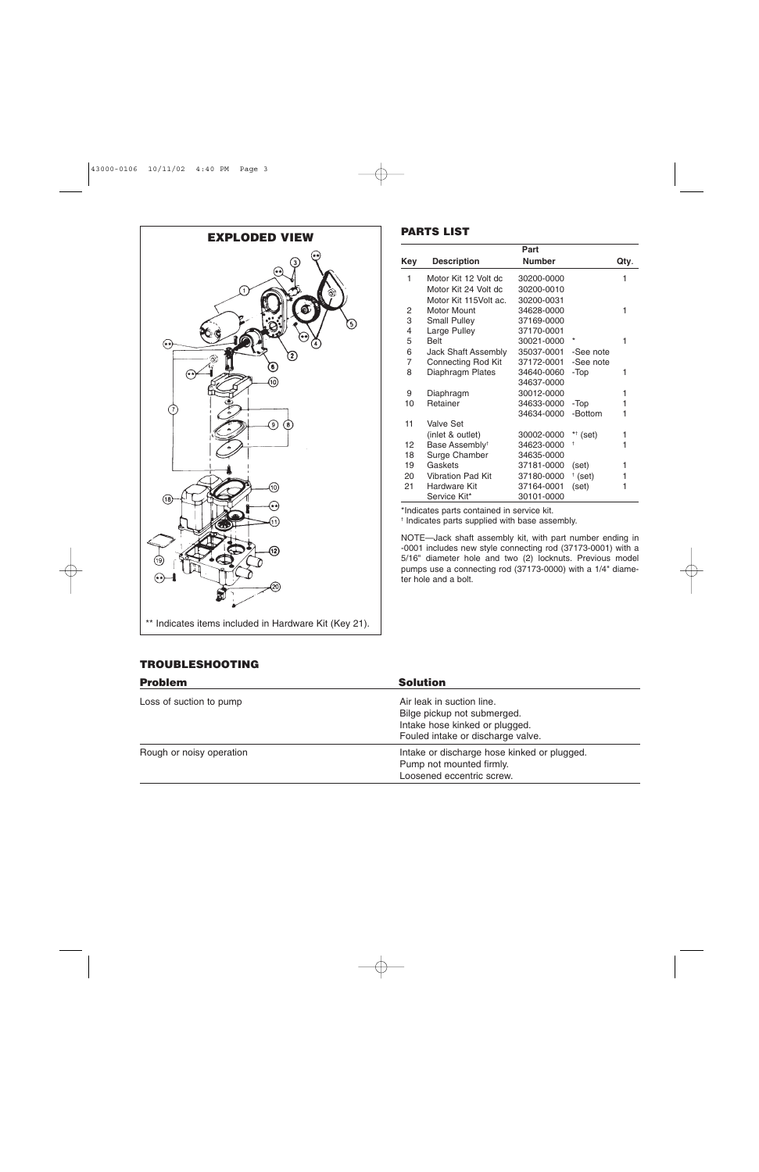

|     |                            | Part          |             |      |
|-----|----------------------------|---------------|-------------|------|
| Key | <b>Description</b>         | <b>Number</b> |             | Qty. |
| 1   | Motor Kit 12 Volt dc       | 30200-0000    |             | 1    |
|     | Motor Kit 24 Volt dc       | 30200-0010    |             |      |
|     | Motor Kit 115Volt ac.      | 30200-0031    |             |      |
| 2   | <b>Motor Mount</b>         | 34628-0000    |             | 1    |
| 3   | <b>Small Pulley</b>        | 37169-0000    |             |      |
| 4   | Large Pulley               | 37170-0001    |             |      |
| 5   | <b>Belt</b>                | 30021-0000    | $\ast$      | 1    |
| 6   | Jack Shaft Assembly        | 35037-0001    | -See note   |      |
| 7   | Connecting Rod Kit         | 37172-0001    | -See note   |      |
| 8   | Diaphragm Plates           | 34640-0060    | -Top        | 1    |
|     |                            | 34637-0000    |             |      |
| 9   | Diaphragm                  | 30012-0000    |             | 1    |
| 10  | Retainer                   | 34633-0000    | -Top        | 1    |
|     |                            | 34634-0000    | -Bottom     | 1    |
| 11  | Valve Set                  |               |             |      |
|     | (inlet & outlet)           | 30002-0000    | $*$ (set)   | 1    |
| 12  | Base Assembly <sup>+</sup> | 34623-0000    | t           | 1    |
| 18  | Surge Chamber              | 34635-0000    |             |      |
| 19  | Gaskets                    | 37181-0000    | (set)       | 1    |
| 20  | <b>Vibration Pad Kit</b>   | 37180-0000    | $\pm$ (set) | 1    |
| 21  | Hardware Kit               | 37164-0001    | (set)       | 1    |
|     | Service Kit*               | 30101-0000    |             |      |

\*Indicates parts contained in service kit.

† Indicates parts supplied with base assembly.

NOTE—Jack shaft assembly kit, with part number ending in -0001 includes new style connecting rod (37173-0001) with a 5/16" diameter hole and two (2) locknuts. Previous model pumps use a connecting rod (37173-0000) with a 1/4" diameter hole and a bolt.

### **TROUBLESHOOTING**

| <b>Problem</b>           | <b>Solution</b>                                                                                                                 |
|--------------------------|---------------------------------------------------------------------------------------------------------------------------------|
| Loss of suction to pump  | Air leak in suction line.<br>Bilge pickup not submerged.<br>Intake hose kinked or plugged.<br>Fouled intake or discharge valve. |
| Rough or noisy operation | Intake or discharge hose kinked or plugged.<br>Pump not mounted firmly.<br>Loosened eccentric screw.                            |